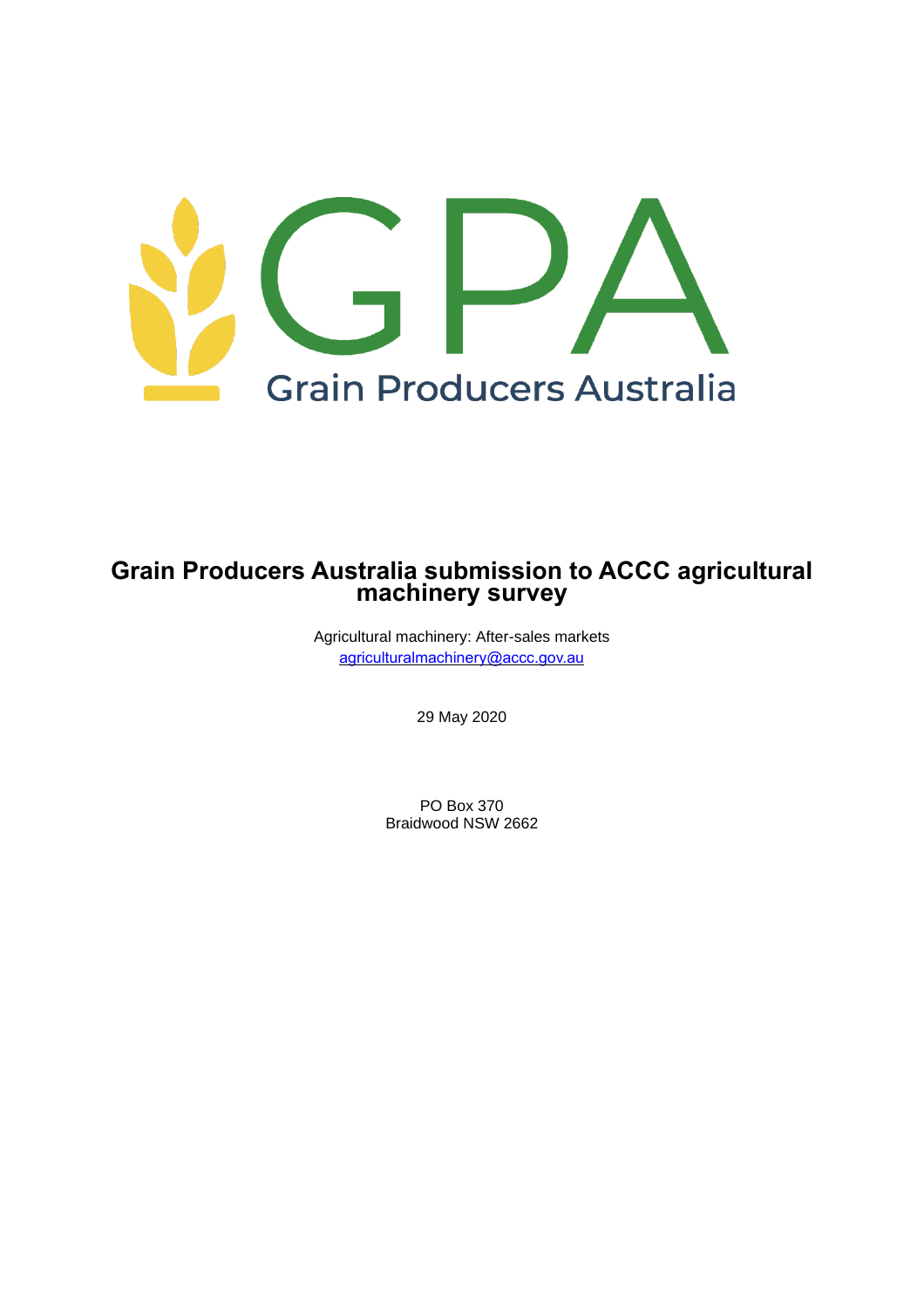

# **Grain Producers Australia submission to ACCC agricultural machinery survey**

Agricultural machinery: After-sales markets [agriculturalmachinery@accc.gov.au](mailto:agriculturalmachinery@accc.gov.au)

29 May 2020

PO Box 370 Braidwood NSW 2662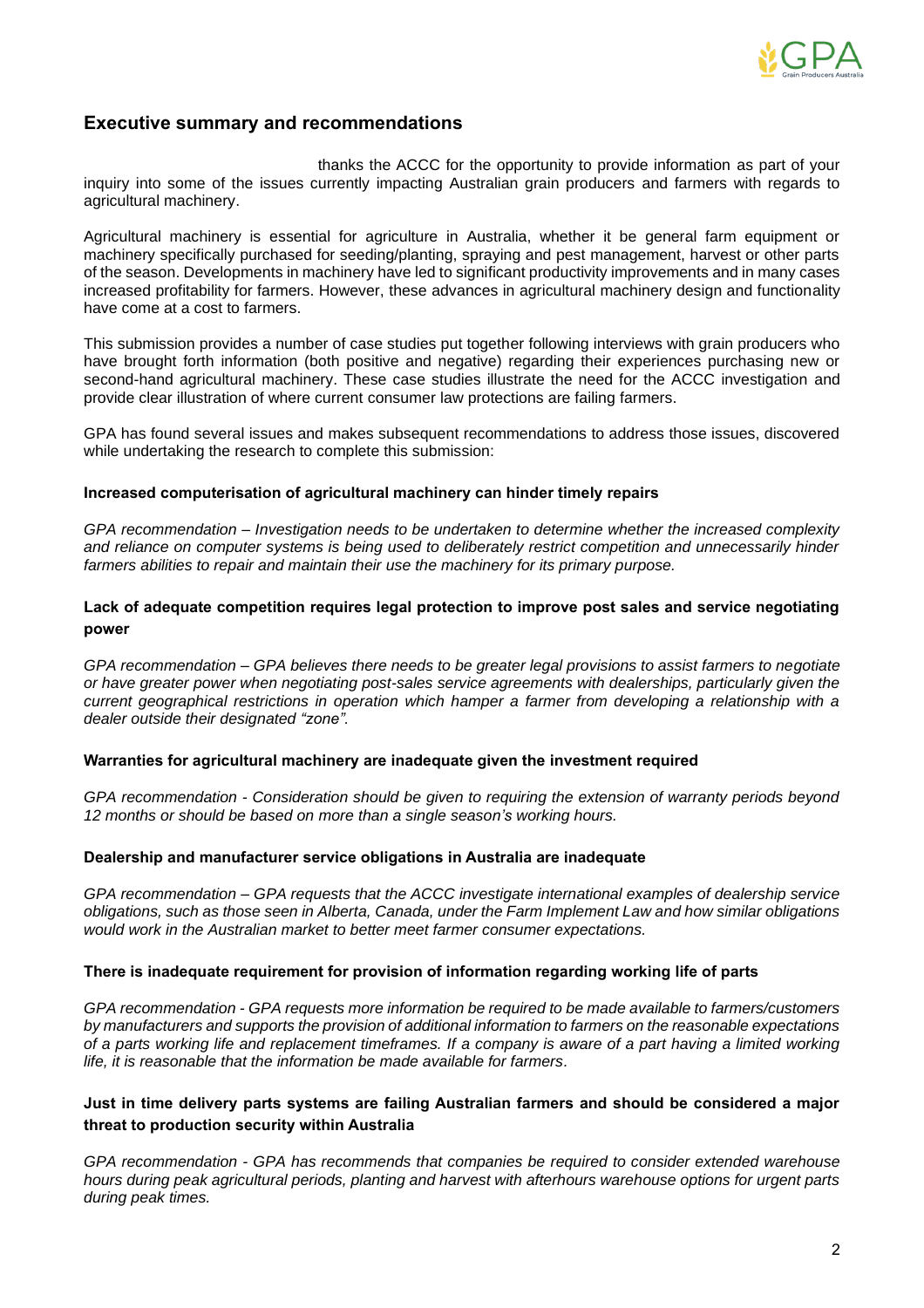

## **Executive summary and recommendations**

thanks the ACCC for the opportunity to provide information as part of your inquiry into some of the issues currently impacting Australian grain producers and farmers with regards to agricultural machinery.

Agricultural machinery is essential for agriculture in Australia, whether it be general farm equipment or machinery specifically purchased for seeding/planting, spraying and pest management, harvest or other parts of the season. Developments in machinery have led to significant productivity improvements and in many cases increased profitability for farmers. However, these advances in agricultural machinery design and functionality have come at a cost to farmers.

This submission provides a number of case studies put together following interviews with grain producers who have brought forth information (both positive and negative) regarding their experiences purchasing new or second-hand agricultural machinery. These case studies illustrate the need for the ACCC investigation and provide clear illustration of where current consumer law protections are failing farmers.

GPA has found several issues and makes subsequent recommendations to address those issues, discovered while undertaking the research to complete this submission:

#### **Increased computerisation of agricultural machinery can hinder timely repairs**

*GPA recommendation – Investigation needs to be undertaken to determine whether the increased complexity and reliance on computer systems is being used to deliberately restrict competition and unnecessarily hinder farmers abilities to repair and maintain their use the machinery for its primary purpose.*

## **Lack of adequate competition requires legal protection to improve post sales and service negotiating power**

*GPA recommendation – GPA believes there needs to be greater legal provisions to assist farmers to negotiate or have greater power when negotiating post-sales service agreements with dealerships, particularly given the current geographical restrictions in operation which hamper a farmer from developing a relationship with a dealer outside their designated "zone".* 

#### **Warranties for agricultural machinery are inadequate given the investment required**

*GPA recommendation - Consideration should be given to requiring the extension of warranty periods beyond 12 months or should be based on more than a single season's working hours.* 

#### **Dealership and manufacturer service obligations in Australia are inadequate**

*GPA recommendation – GPA requests that the ACCC investigate international examples of dealership service obligations, such as those seen in Alberta, Canada, under the Farm Implement Law and how similar obligations would work in the Australian market to better meet farmer consumer expectations.*

#### **There is inadequate requirement for provision of information regarding working life of parts**

*GPA recommendation - GPA requests more information be required to be made available to farmers/customers by manufacturers and supports the provision of additional information to farmers on the reasonable expectations of a parts working life and replacement timeframes. If a company is aware of a part having a limited working life, it is reasonable that the information be made available for farmers.* 

## **Just in time delivery parts systems are failing Australian farmers and should be considered a major threat to production security within Australia**

*GPA recommendation - GPA has recommends that companies be required to consider extended warehouse hours during peak agricultural periods, planting and harvest with afterhours warehouse options for urgent parts during peak times.*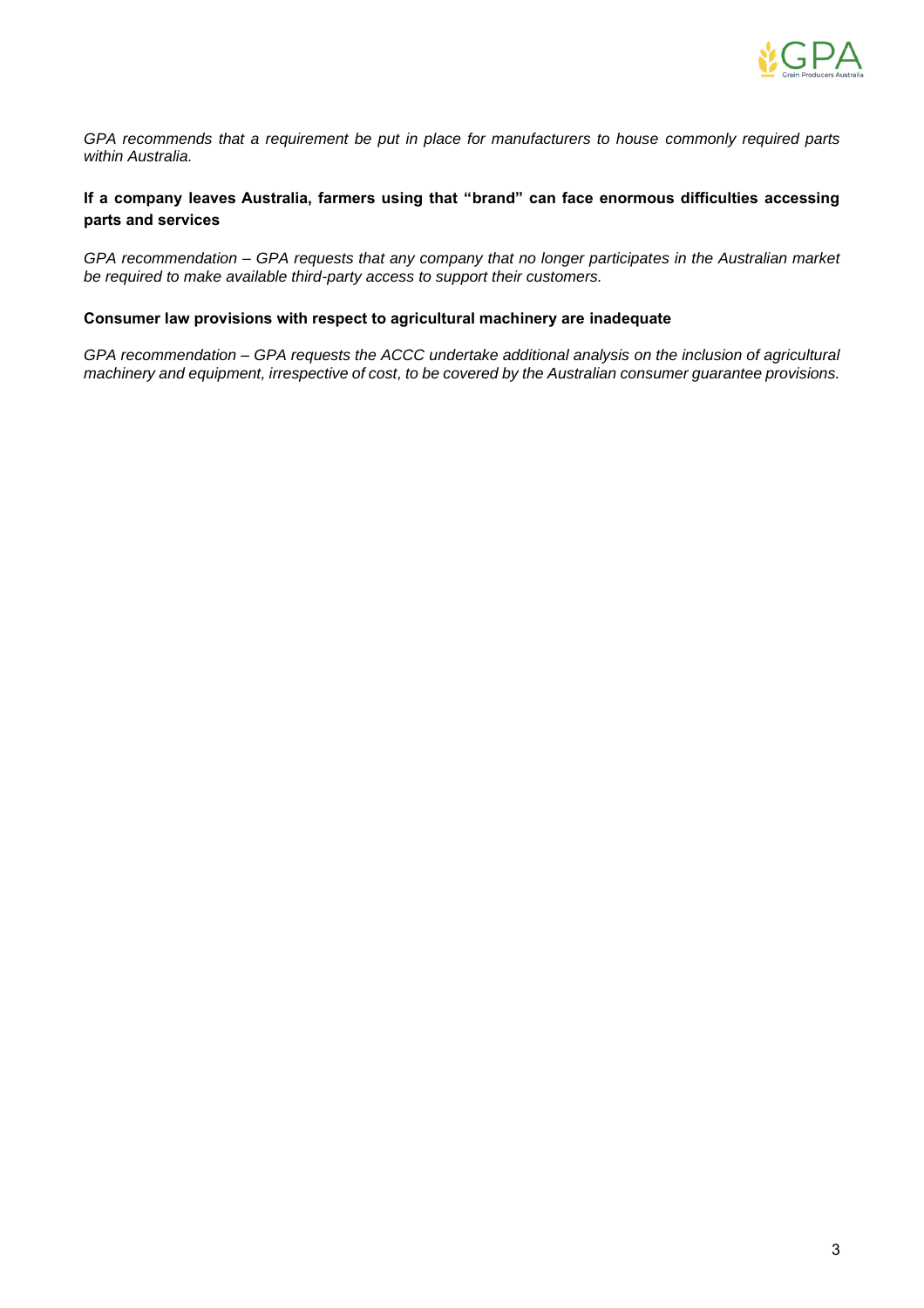

*GPA recommends that a requirement be put in place for manufacturers to house commonly required parts within Australia.*

## **If a company leaves Australia, farmers using that "brand" can face enormous difficulties accessing parts and services**

*GPA recommendation – GPA requests that any company that no longer participates in the Australian market be required to make available third-party access to support their customers.*

### **Consumer law provisions with respect to agricultural machinery are inadequate**

*GPA recommendation – GPA requests the ACCC undertake additional analysis on the inclusion of agricultural machinery and equipment, irrespective of cost, to be covered by the Australian consumer guarantee provisions.*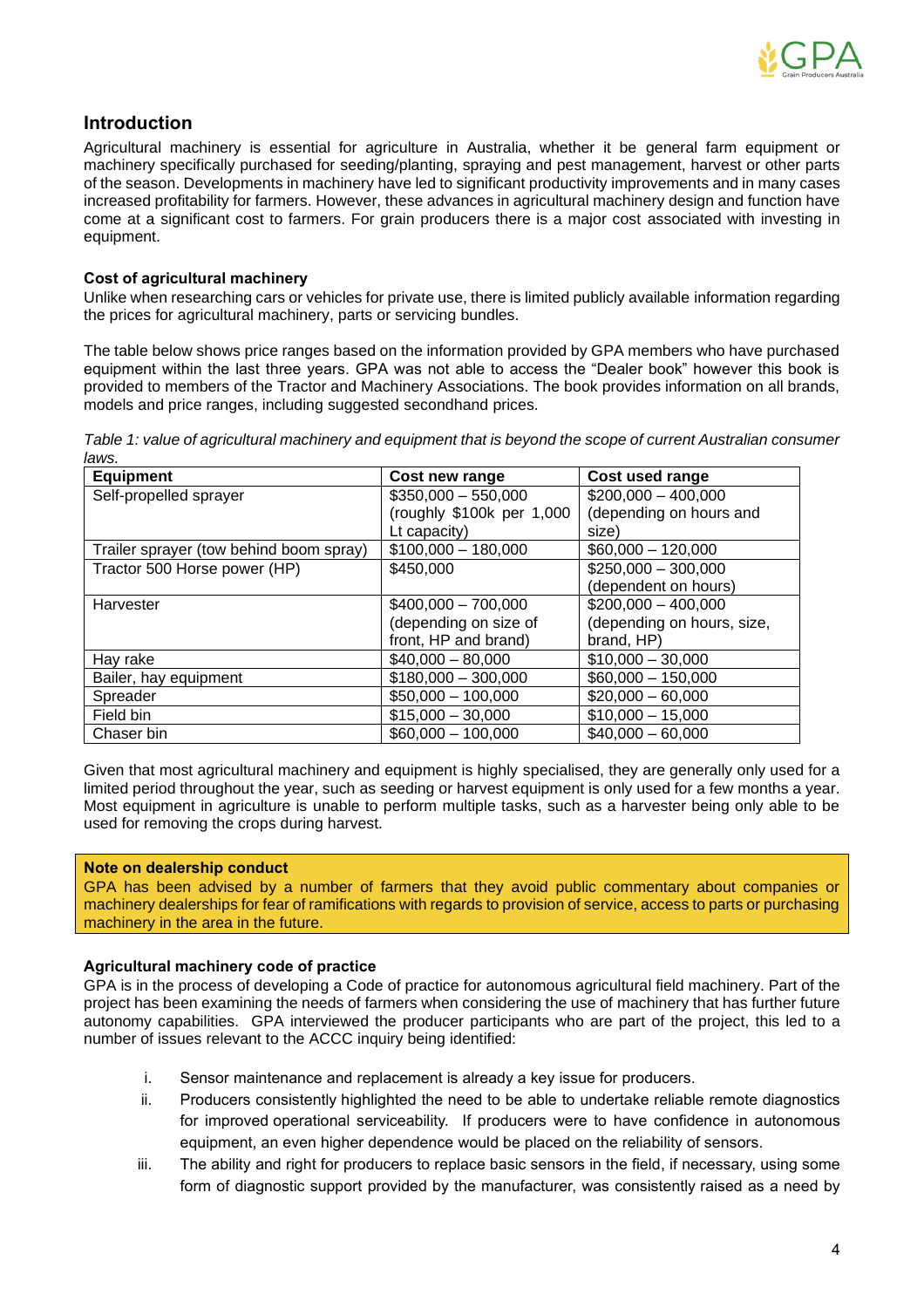

## **Introduction**

Agricultural machinery is essential for agriculture in Australia, whether it be general farm equipment or machinery specifically purchased for seeding/planting, spraying and pest management, harvest or other parts of the season. Developments in machinery have led to significant productivity improvements and in many cases increased profitability for farmers. However, these advances in agricultural machinery design and function have come at a significant cost to farmers. For grain producers there is a major cost associated with investing in equipment.

### **Cost of agricultural machinery**

Unlike when researching cars or vehicles for private use, there is limited publicly available information regarding the prices for agricultural machinery, parts or servicing bundles.

The table below shows price ranges based on the information provided by GPA members who have purchased equipment within the last three years. GPA was not able to access the "Dealer book" however this book is provided to members of the Tractor and Machinery Associations. The book provides information on all brands, models and price ranges, including suggested secondhand prices.

*Table 1: value of agricultural machinery and equipment that is beyond the scope of current Australian consumer laws.* 

| <b>Equipment</b>                        | Cost new range            | Cost used range            |
|-----------------------------------------|---------------------------|----------------------------|
| Self-propelled sprayer                  | $$350,000 - 550,000$      | $$200,000 - 400,000$       |
|                                         | (roughly \$100k per 1,000 | (depending on hours and    |
|                                         | Lt capacity)              | size)                      |
| Trailer sprayer (tow behind boom spray) | $$100,000 - 180,000$      | $$60,000 - 120,000$        |
| Tractor 500 Horse power (HP)            | \$450,000                 | $$250,000 - 300,000$       |
|                                         |                           | (dependent on hours)       |
| Harvester                               | $$400,000 - 700,000$      | $$200,000 - 400,000$       |
|                                         | (depending on size of     | (depending on hours, size, |
|                                         | front, HP and brand)      | brand, HP)                 |
| Hay rake                                | $$40,000 - 80,000$        | $$10,000 - 30,000$         |
| Bailer, hay equipment                   | $$180,000 - 300,000$      | $$60,000 - 150,000$        |
| Spreader                                | $$50,000 - 100,000$       | $$20,000 - 60,000$         |
| Field bin                               | $$15,000 - 30,000$        | $$10,000 - 15,000$         |
| Chaser bin                              | $$60,000 - 100,000$       | $$40,000 - 60,000$         |

Given that most agricultural machinery and equipment is highly specialised, they are generally only used for a limited period throughout the year, such as seeding or harvest equipment is only used for a few months a year. Most equipment in agriculture is unable to perform multiple tasks, such as a harvester being only able to be used for removing the crops during harvest.

#### **Note on dealership conduct**

GPA has been advised by a number of farmers that they avoid public commentary about companies or machinery dealerships for fear of ramifications with regards to provision of service, access to parts or purchasing machinery in the area in the future.

## **Agricultural machinery code of practice**

GPA is in the process of developing a Code of practice for autonomous agricultural field machinery. Part of the project has been examining the needs of farmers when considering the use of machinery that has further future autonomy capabilities. GPA interviewed the producer participants who are part of the project, this led to a number of issues relevant to the ACCC inquiry being identified:

- i. Sensor maintenance and replacement is already a key issue for producers.
- ii. Producers consistently highlighted the need to be able to undertake reliable remote diagnostics for improved operational serviceability. If producers were to have confidence in autonomous equipment, an even higher dependence would be placed on the reliability of sensors.
- iii. The ability and right for producers to replace basic sensors in the field, if necessary, using some form of diagnostic support provided by the manufacturer, was consistently raised as a need by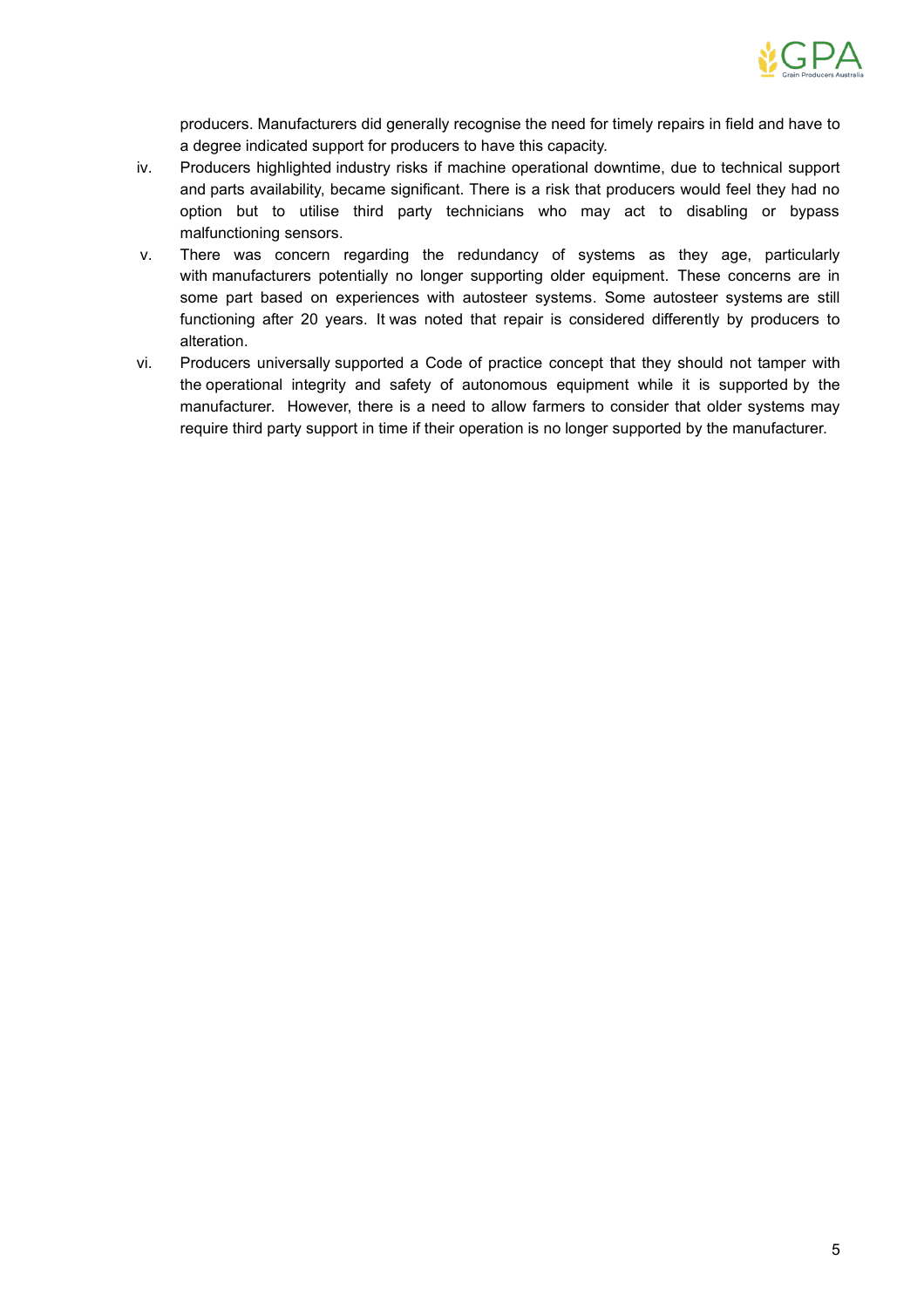

producers. Manufacturers did generally recognise the need for timely repairs in field and have to a degree indicated support for producers to have this capacity.

- iv. Producers highlighted industry risks if machine operational downtime, due to technical support and parts availability, became significant. There is a risk that producers would feel they had no option but to utilise third party technicians who may act to disabling or bypass malfunctioning sensors.
- v. There was concern regarding the redundancy of systems as they age, particularly with manufacturers potentially no longer supporting older equipment. These concerns are in some part based on experiences with autosteer systems. Some autosteer systems are still functioning after 20 years. It was noted that repair is considered differently by producers to alteration.
- vi. Producers universally supported a Code of practice concept that they should not tamper with the operational integrity and safety of autonomous equipment while it is supported by the manufacturer. However, there is a need to allow farmers to consider that older systems may require third party support in time if their operation is no longer supported by the manufacturer.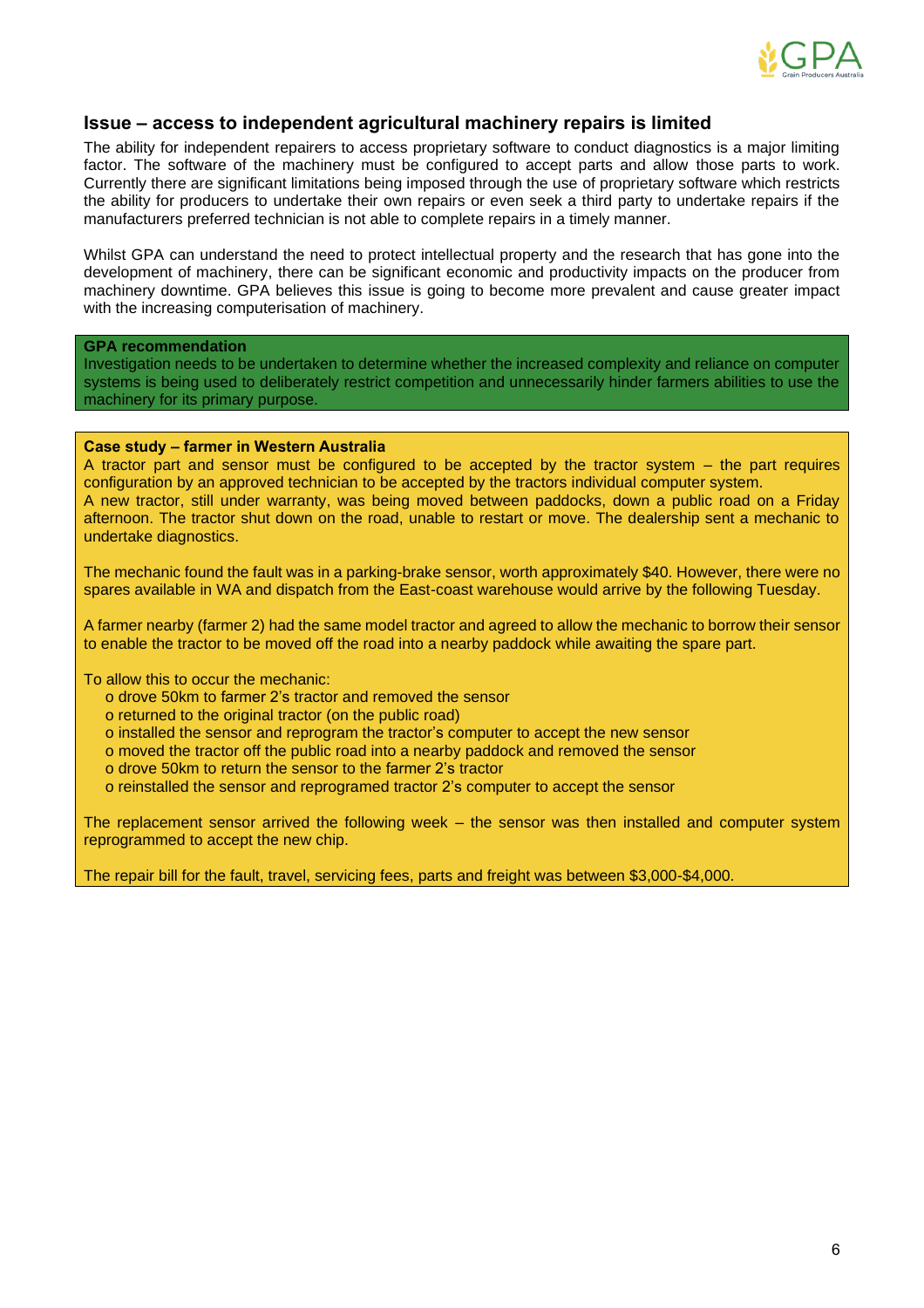

## **Issue – access to independent agricultural machinery repairs is limited**

The ability for independent repairers to access proprietary software to conduct diagnostics is a major limiting factor. The software of the machinery must be configured to accept parts and allow those parts to work. Currently there are significant limitations being imposed through the use of proprietary software which restricts the ability for producers to undertake their own repairs or even seek a third party to undertake repairs if the manufacturers preferred technician is not able to complete repairs in a timely manner.

Whilst GPA can understand the need to protect intellectual property and the research that has gone into the development of machinery, there can be significant economic and productivity impacts on the producer from machinery downtime. GPA believes this issue is going to become more prevalent and cause greater impact with the increasing computerisation of machinery.

#### **GPA recommendation**

Investigation needs to be undertaken to determine whether the increased complexity and reliance on computer systems is being used to deliberately restrict competition and unnecessarily hinder farmers abilities to use the machinery for its primary purpose.

#### **Case study – farmer in Western Australia**

A tractor part and sensor must be configured to be accepted by the tractor system – the part requires configuration by an approved technician to be accepted by the tractors individual computer system. A new tractor, still under warranty, was being moved between paddocks, down a public road on a Friday afternoon. The tractor shut down on the road, unable to restart or move. The dealership sent a mechanic to undertake diagnostics.

The mechanic found the fault was in a parking-brake sensor, worth approximately \$40. However, there were no spares available in WA and dispatch from the East-coast warehouse would arrive by the following Tuesday.

A farmer nearby (farmer 2) had the same model tractor and agreed to allow the mechanic to borrow their sensor to enable the tractor to be moved off the road into a nearby paddock while awaiting the spare part.

To allow this to occur the mechanic:

- o drove 50km to farmer 2's tractor and removed the sensor
- o returned to the original tractor (on the public road)
- o installed the sensor and reprogram the tractor's computer to accept the new sensor
- o moved the tractor off the public road into a nearby paddock and removed the sensor
- o drove 50km to return the sensor to the farmer 2's tractor
- o reinstalled the sensor and reprogramed tractor 2's computer to accept the sensor

The replacement sensor arrived the following week – the sensor was then installed and computer system reprogrammed to accept the new chip.

The repair bill for the fault, travel, servicing fees, parts and freight was between \$3,000-\$4,000.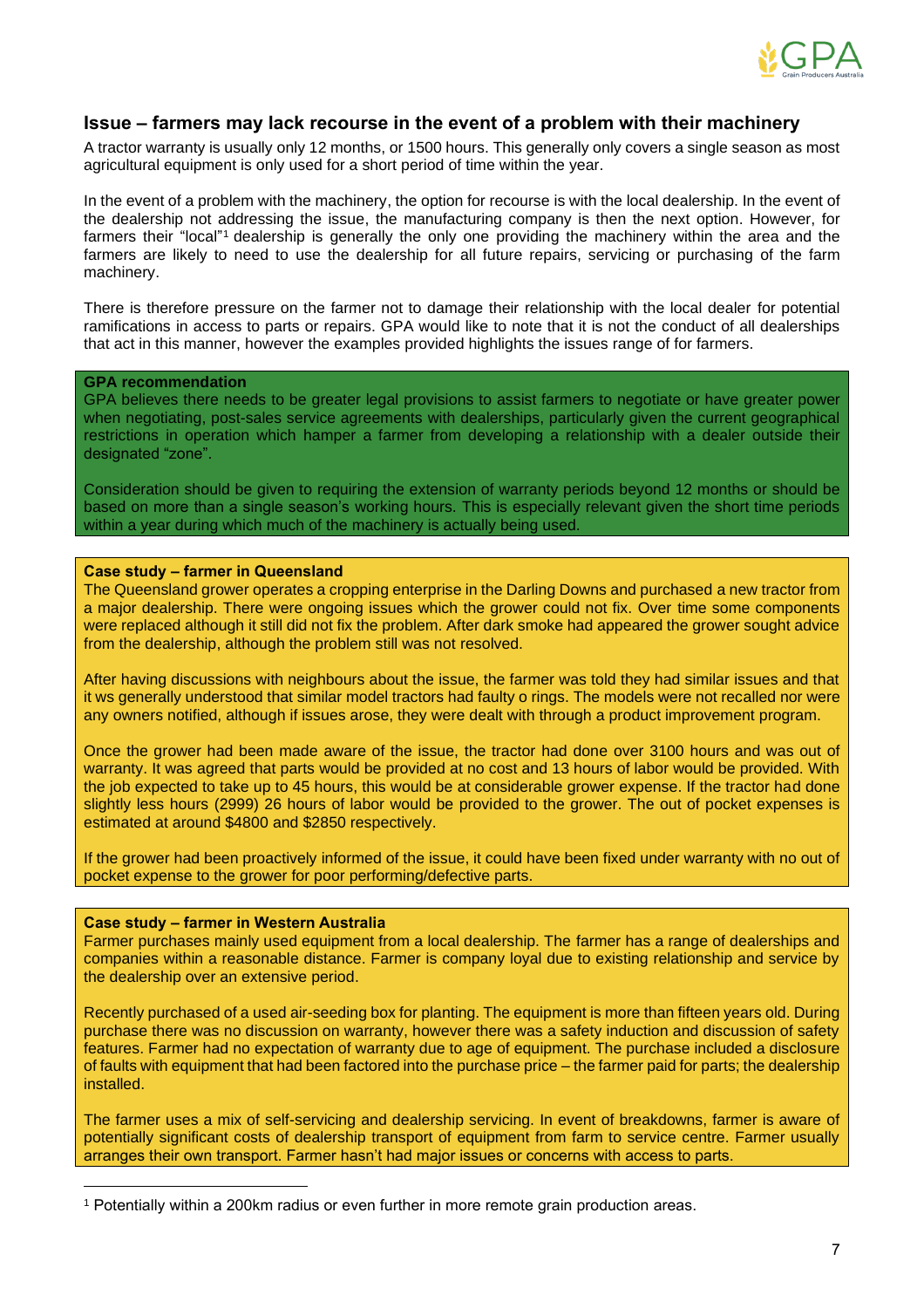

## **Issue – farmers may lack recourse in the event of a problem with their machinery**

A tractor warranty is usually only 12 months, or 1500 hours. This generally only covers a single season as most agricultural equipment is only used for a short period of time within the year.

In the event of a problem with the machinery, the option for recourse is with the local dealership. In the event of the dealership not addressing the issue, the manufacturing company is then the next option. However, for farmers their "local"<sup>1</sup> dealership is generally the only one providing the machinery within the area and the farmers are likely to need to use the dealership for all future repairs, servicing or purchasing of the farm machinery.

There is therefore pressure on the farmer not to damage their relationship with the local dealer for potential ramifications in access to parts or repairs. GPA would like to note that it is not the conduct of all dealerships that act in this manner, however the examples provided highlights the issues range of for farmers.

### **GPA recommendation**

GPA believes there needs to be greater legal provisions to assist farmers to negotiate or have greater power when negotiating, post-sales service agreements with dealerships, particularly given the current geographical restrictions in operation which hamper a farmer from developing a relationship with a dealer outside their designated "zone".

Consideration should be given to requiring the extension of warranty periods beyond 12 months or should be based on more than a single season's working hours. This is especially relevant given the short time periods within a year during which much of the machinery is actually being used.

#### **Case study – farmer in Queensland**

The Queensland grower operates a cropping enterprise in the Darling Downs and purchased a new tractor from a major dealership. There were ongoing issues which the grower could not fix. Over time some components were replaced although it still did not fix the problem. After dark smoke had appeared the grower sought advice from the dealership, although the problem still was not resolved.

After having discussions with neighbours about the issue, the farmer was told they had similar issues and that it ws generally understood that similar model tractors had faulty o rings. The models were not recalled nor were any owners notified, although if issues arose, they were dealt with through a product improvement program.

Once the grower had been made aware of the issue, the tractor had done over 3100 hours and was out of warranty. It was agreed that parts would be provided at no cost and 13 hours of labor would be provided. With the job expected to take up to 45 hours, this would be at considerable grower expense. If the tractor had done slightly less hours (2999) 26 hours of labor would be provided to the grower. The out of pocket expenses is estimated at around \$4800 and \$2850 respectively.

If the grower had been proactively informed of the issue, it could have been fixed under warranty with no out of pocket expense to the grower for poor performing/defective parts.

#### **Case study – farmer in Western Australia**

Farmer purchases mainly used equipment from a local dealership. The farmer has a range of dealerships and companies within a reasonable distance. Farmer is company loyal due to existing relationship and service by the dealership over an extensive period.

Recently purchased of a used air-seeding box for planting. The equipment is more than fifteen years old. During purchase there was no discussion on warranty, however there was a safety induction and discussion of safety features. Farmer had no expectation of warranty due to age of equipment. The purchase included a disclosure of faults with equipment that had been factored into the purchase price – the farmer paid for parts; the dealership installed.

The farmer uses a mix of self-servicing and dealership servicing. In event of breakdowns, farmer is aware of potentially significant costs of dealership transport of equipment from farm to service centre. Farmer usually arranges their own transport. Farmer hasn't had major issues or concerns with access to parts.

<sup>1</sup> Potentially within a 200km radius or even further in more remote grain production areas.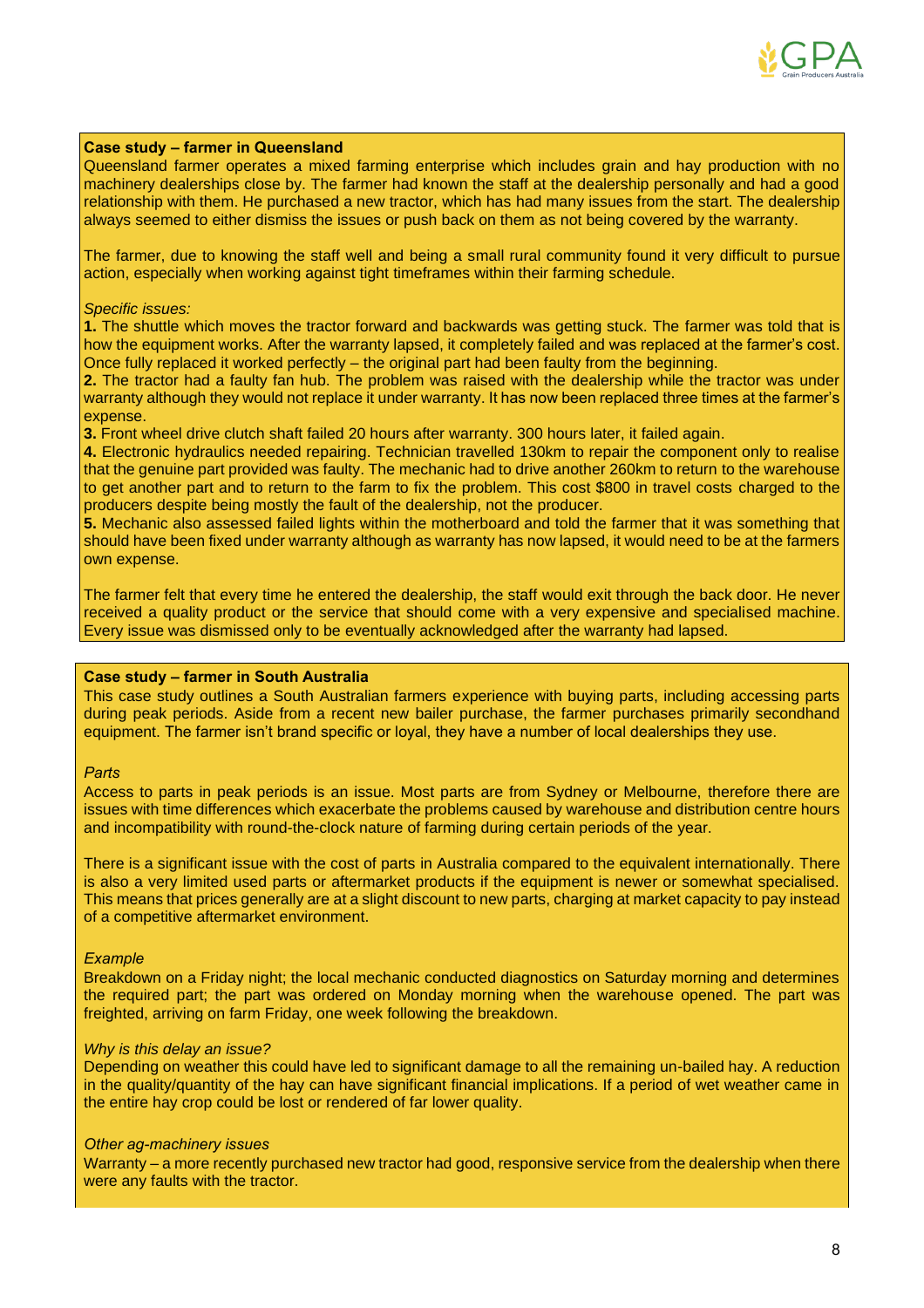

#### **Case study – farmer in Queensland**

Queensland farmer operates a mixed farming enterprise which includes grain and hay production with no machinery dealerships close by. The farmer had known the staff at the dealership personally and had a good relationship with them. He purchased a new tractor, which has had many issues from the start. The dealership always seemed to either dismiss the issues or push back on them as not being covered by the warranty.

The farmer, due to knowing the staff well and being a small rural community found it very difficult to pursue action, especially when working against tight timeframes within their farming schedule.

#### *Specific issues:*

**1.** The shuttle which moves the tractor forward and backwards was getting stuck. The farmer was told that is how the equipment works. After the warranty lapsed, it completely failed and was replaced at the farmer's cost. Once fully replaced it worked perfectly – the original part had been faulty from the beginning.

**2.** The tractor had a faulty fan hub. The problem was raised with the dealership while the tractor was under warranty although they would not replace it under warranty. It has now been replaced three times at the farmer's expense.

**3.** Front wheel drive clutch shaft failed 20 hours after warranty. 300 hours later, it failed again.

**4.** Electronic hydraulics needed repairing. Technician travelled 130km to repair the component only to realise that the genuine part provided was faulty. The mechanic had to drive another 260km to return to the warehouse to get another part and to return to the farm to fix the problem. This cost \$800 in travel costs charged to the producers despite being mostly the fault of the dealership, not the producer.

**5.** Mechanic also assessed failed lights within the motherboard and told the farmer that it was something that should have been fixed under warranty although as warranty has now lapsed, it would need to be at the farmers own expense.

The farmer felt that every time he entered the dealership, the staff would exit through the back door. He never received a quality product or the service that should come with a very expensive and specialised machine. Every issue was dismissed only to be eventually acknowledged after the warranty had lapsed.

### **Case study – farmer in South Australia**

This case study outlines a South Australian farmers experience with buying parts, including accessing parts during peak periods. Aside from a recent new bailer purchase, the farmer purchases primarily secondhand equipment. The farmer isn't brand specific or loyal, they have a number of local dealerships they use.

#### *Parts*

Access to parts in peak periods is an issue. Most parts are from Sydney or Melbourne, therefore there are issues with time differences which exacerbate the problems caused by warehouse and distribution centre hours and incompatibility with round-the-clock nature of farming during certain periods of the year.

There is a significant issue with the cost of parts in Australia compared to the equivalent internationally. There is also a very limited used parts or aftermarket products if the equipment is newer or somewhat specialised. This means that prices generally are at a slight discount to new parts, charging at market capacity to pay instead of a competitive aftermarket environment.

#### *Example*

Breakdown on a Friday night; the local mechanic conducted diagnostics on Saturday morning and determines the required part; the part was ordered on Monday morning when the warehouse opened. The part was freighted, arriving on farm Friday, one week following the breakdown.

#### *Why is this delay an issue?*

Depending on weather this could have led to significant damage to all the remaining un-bailed hay. A reduction in the quality/quantity of the hay can have significant financial implications. If a period of wet weather came in the entire hay crop could be lost or rendered of far lower quality.

#### *Other ag-machinery issues*

Warranty – a more recently purchased new tractor had good, responsive service from the dealership when there were any faults with the tractor.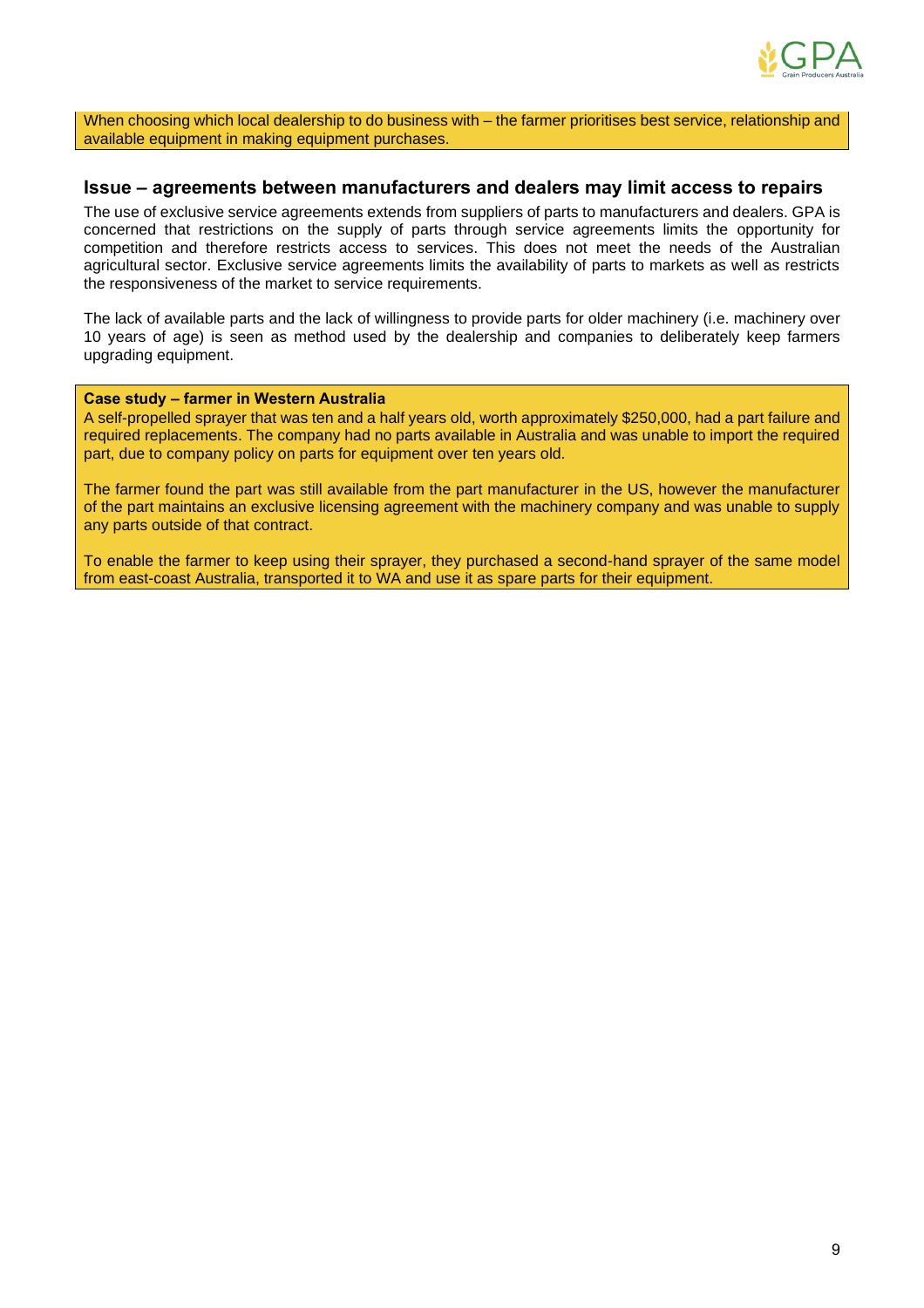

When choosing which local dealership to do business with – the farmer prioritises best service, relationship and available equipment in making equipment purchases.

## **Issue – agreements between manufacturers and dealers may limit access to repairs**

The use of exclusive service agreements extends from suppliers of parts to manufacturers and dealers. GPA is concerned that restrictions on the supply of parts through service agreements limits the opportunity for competition and therefore restricts access to services. This does not meet the needs of the Australian agricultural sector. Exclusive service agreements limits the availability of parts to markets as well as restricts the responsiveness of the market to service requirements.

The lack of available parts and the lack of willingness to provide parts for older machinery (i.e. machinery over 10 years of age) is seen as method used by the dealership and companies to deliberately keep farmers upgrading equipment.

#### **Case study – farmer in Western Australia**

A self-propelled sprayer that was ten and a half years old, worth approximately \$250,000, had a part failure and required replacements. The company had no parts available in Australia and was unable to import the required part, due to company policy on parts for equipment over ten years old.

The farmer found the part was still available from the part manufacturer in the US, however the manufacturer of the part maintains an exclusive licensing agreement with the machinery company and was unable to supply any parts outside of that contract.

To enable the farmer to keep using their sprayer, they purchased a second-hand sprayer of the same model from east-coast Australia, transported it to WA and use it as spare parts for their equipment.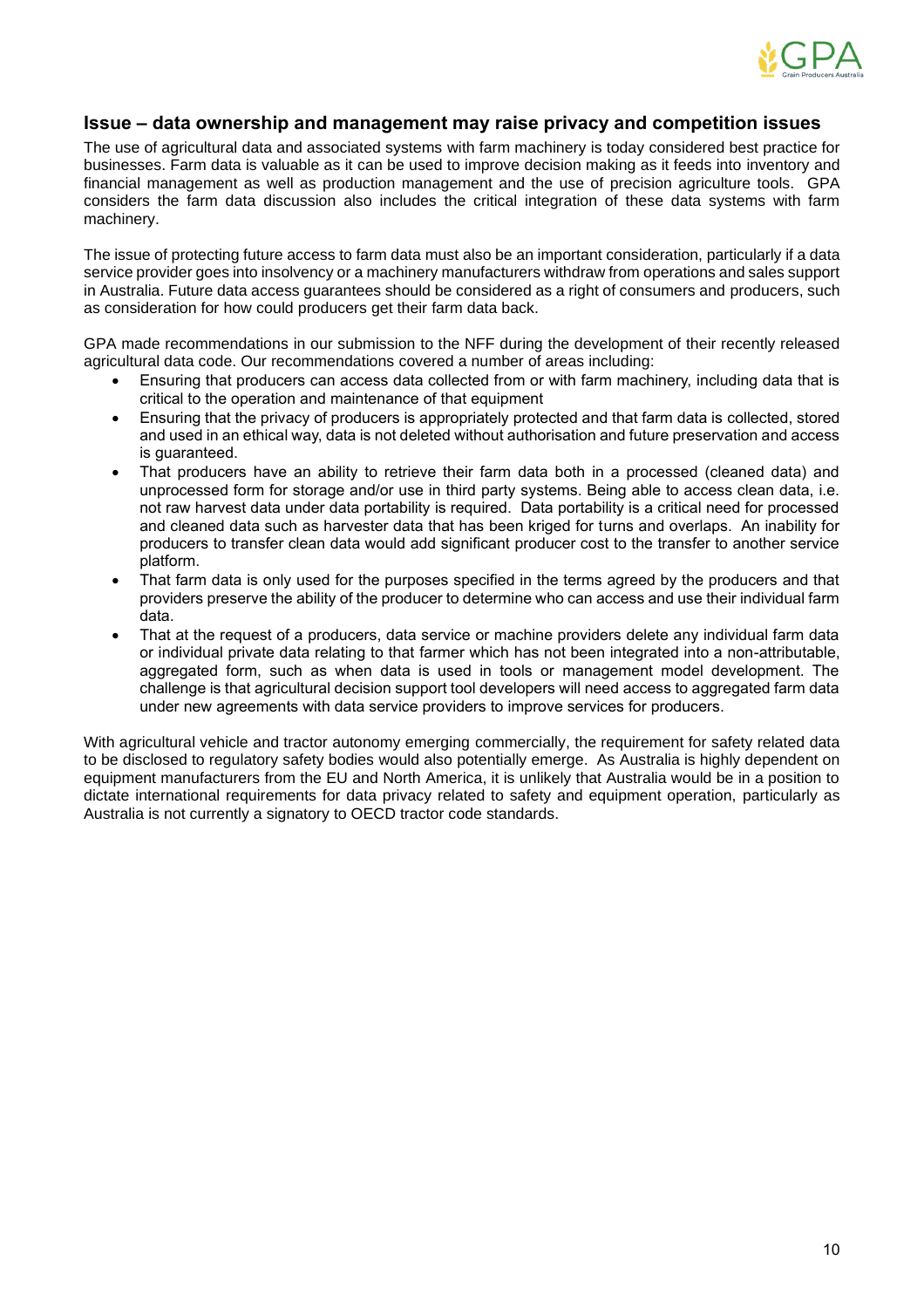

## **Issue – data ownership and management may raise privacy and competition issues**

The use of agricultural data and associated systems with farm machinery is today considered best practice for businesses. Farm data is valuable as it can be used to improve decision making as it feeds into inventory and financial management as well as production management and the use of precision agriculture tools. GPA considers the farm data discussion also includes the critical integration of these data systems with farm machinery.

The issue of protecting future access to farm data must also be an important consideration, particularly if a data service provider goes into insolvency or a machinery manufacturers withdraw from operations and sales support in Australia. Future data access guarantees should be considered as a right of consumers and producers, such as consideration for how could producers get their farm data back.

GPA made recommendations in our submission to the NFF during the development of their recently released agricultural data code. Our recommendations covered a number of areas including:

- Ensuring that producers can access data collected from or with farm machinery, including data that is critical to the operation and maintenance of that equipment
- Ensuring that the privacy of producers is appropriately protected and that farm data is collected, stored and used in an ethical way, data is not deleted without authorisation and future preservation and access is guaranteed.
- That producers have an ability to retrieve their farm data both in a processed (cleaned data) and unprocessed form for storage and/or use in third party systems. Being able to access clean data, i.e. not raw harvest data under data portability is required. Data portability is a critical need for processed and cleaned data such as harvester data that has been kriged for turns and overlaps. An inability for producers to transfer clean data would add significant producer cost to the transfer to another service platform.
- That farm data is only used for the purposes specified in the terms agreed by the producers and that providers preserve the ability of the producer to determine who can access and use their individual farm data.
- That at the request of a producers, data service or machine providers delete any individual farm data or individual private data relating to that farmer which has not been integrated into a non-attributable, aggregated form, such as when data is used in tools or management model development. The challenge is that agricultural decision support tool developers will need access to aggregated farm data under new agreements with data service providers to improve services for producers.

With agricultural vehicle and tractor autonomy emerging commercially, the requirement for safety related data to be disclosed to regulatory safety bodies would also potentially emerge. As Australia is highly dependent on equipment manufacturers from the EU and North America, it is unlikely that Australia would be in a position to dictate international requirements for data privacy related to safety and equipment operation, particularly as Australia is not currently a signatory to OECD tractor code standards.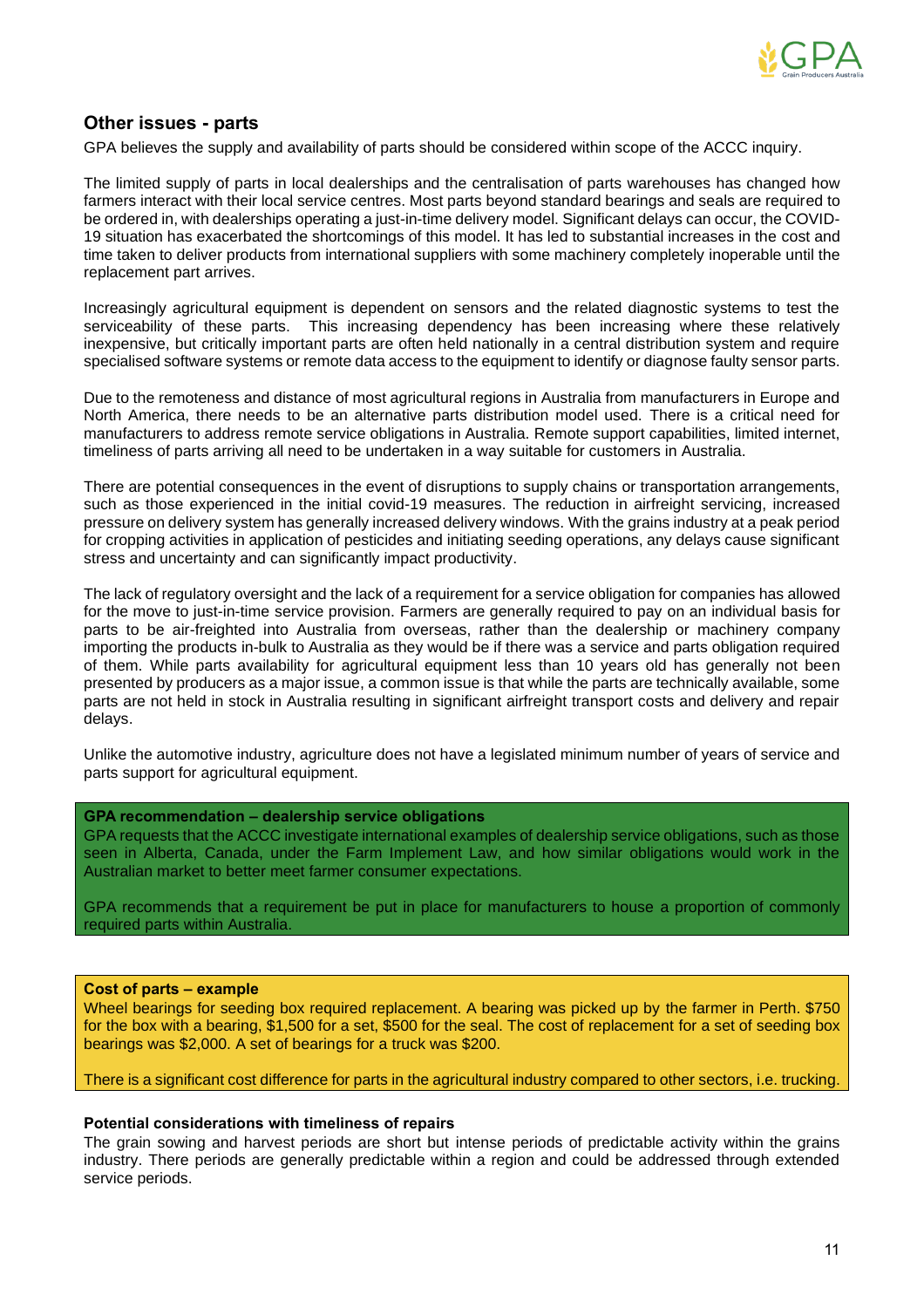

## **Other issues - parts**

GPA believes the supply and availability of parts should be considered within scope of the ACCC inquiry.

The limited supply of parts in local dealerships and the centralisation of parts warehouses has changed how farmers interact with their local service centres. Most parts beyond standard bearings and seals are required to be ordered in, with dealerships operating a just-in-time delivery model. Significant delays can occur, the COVID-19 situation has exacerbated the shortcomings of this model. It has led to substantial increases in the cost and time taken to deliver products from international suppliers with some machinery completely inoperable until the replacement part arrives.

Increasingly agricultural equipment is dependent on sensors and the related diagnostic systems to test the serviceability of these parts. This increasing dependency has been increasing where these relatively inexpensive, but critically important parts are often held nationally in a central distribution system and require specialised software systems or remote data access to the equipment to identify or diagnose faulty sensor parts.

Due to the remoteness and distance of most agricultural regions in Australia from manufacturers in Europe and North America, there needs to be an alternative parts distribution model used. There is a critical need for manufacturers to address remote service obligations in Australia. Remote support capabilities, limited internet, timeliness of parts arriving all need to be undertaken in a way suitable for customers in Australia.

There are potential consequences in the event of disruptions to supply chains or transportation arrangements, such as those experienced in the initial covid-19 measures. The reduction in airfreight servicing, increased pressure on delivery system has generally increased delivery windows. With the grains industry at a peak period for cropping activities in application of pesticides and initiating seeding operations, any delays cause significant stress and uncertainty and can significantly impact productivity.

The lack of regulatory oversight and the lack of a requirement for a service obligation for companies has allowed for the move to just-in-time service provision. Farmers are generally required to pay on an individual basis for parts to be air-freighted into Australia from overseas, rather than the dealership or machinery company importing the products in-bulk to Australia as they would be if there was a service and parts obligation required of them. While parts availability for agricultural equipment less than 10 years old has generally not been presented by producers as a major issue, a common issue is that while the parts are technically available, some parts are not held in stock in Australia resulting in significant airfreight transport costs and delivery and repair delays.

Unlike the automotive industry, agriculture does not have a legislated minimum number of years of service and parts support for agricultural equipment.

#### **GPA recommendation – dealership service obligations**

GPA requests that the ACCC investigate international examples of dealership service obligations, such as those seen in Alberta, Canada, under the Farm Implement Law, and how similar obligations would work in the Australian market to better meet farmer consumer expectations.

GPA recommends that a requirement be put in place for manufacturers to house a proportion of commonly required parts within Australia.

#### **Cost of parts – example**

Wheel bearings for seeding box required replacement. A bearing was picked up by the farmer in Perth. \$750 for the box with a bearing, \$1,500 for a set, \$500 for the seal. The cost of replacement for a set of seeding box bearings was \$2,000. A set of bearings for a truck was \$200.

There is a significant cost difference for parts in the agricultural industry compared to other sectors, i.e. trucking.

#### **Potential considerations with timeliness of repairs**

The grain sowing and harvest periods are short but intense periods of predictable activity within the grains industry. There periods are generally predictable within a region and could be addressed through extended service periods.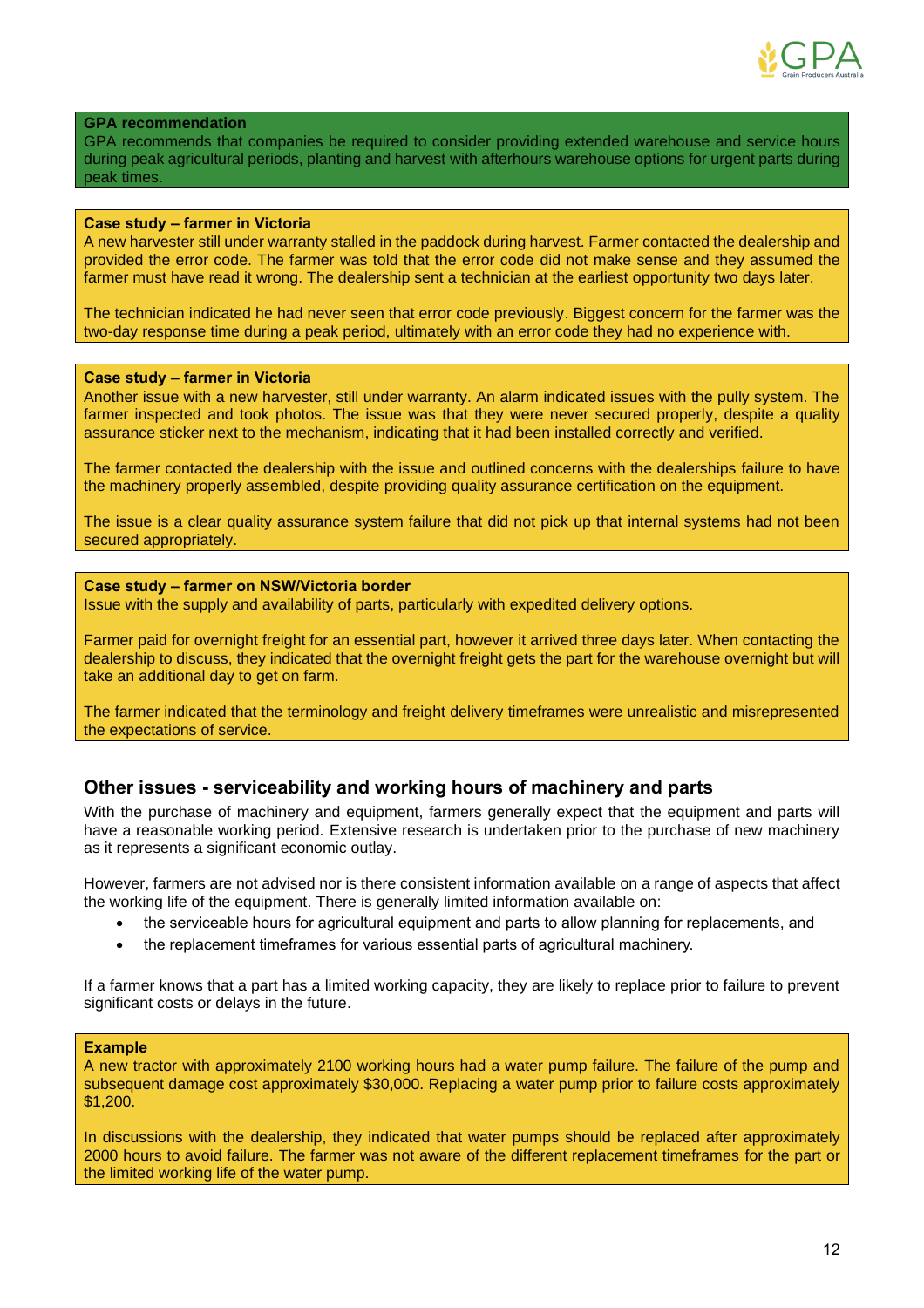

#### **GPA recommendation**

GPA recommends that companies be required to consider providing extended warehouse and service hours during peak agricultural periods, planting and harvest with afterhours warehouse options for urgent parts during peak times.

### **Case study – farmer in Victoria**

A new harvester still under warranty stalled in the paddock during harvest. Farmer contacted the dealership and provided the error code. The farmer was told that the error code did not make sense and they assumed the farmer must have read it wrong. The dealership sent a technician at the earliest opportunity two days later.

The technician indicated he had never seen that error code previously. Biggest concern for the farmer was the two-day response time during a peak period, ultimately with an error code they had no experience with.

#### **Case study – farmer in Victoria**

Another issue with a new harvester, still under warranty. An alarm indicated issues with the pully system. The farmer inspected and took photos. The issue was that they were never secured properly, despite a quality assurance sticker next to the mechanism, indicating that it had been installed correctly and verified.

The farmer contacted the dealership with the issue and outlined concerns with the dealerships failure to have the machinery properly assembled, despite providing quality assurance certification on the equipment.

The issue is a clear quality assurance system failure that did not pick up that internal systems had not been secured appropriately.

### **Case study – farmer on NSW/Victoria border**

Issue with the supply and availability of parts, particularly with expedited delivery options.

Farmer paid for overnight freight for an essential part, however it arrived three days later. When contacting the dealership to discuss, they indicated that the overnight freight gets the part for the warehouse overnight but will take an additional day to get on farm.

The farmer indicated that the terminology and freight delivery timeframes were unrealistic and misrepresented the expectations of service.

## **Other issues - serviceability and working hours of machinery and parts**

With the purchase of machinery and equipment, farmers generally expect that the equipment and parts will have a reasonable working period. Extensive research is undertaken prior to the purchase of new machinery as it represents a significant economic outlay.

However, farmers are not advised nor is there consistent information available on a range of aspects that affect the working life of the equipment. There is generally limited information available on:

- the serviceable hours for agricultural equipment and parts to allow planning for replacements, and
- the replacement timeframes for various essential parts of agricultural machinery.

If a farmer knows that a part has a limited working capacity, they are likely to replace prior to failure to prevent significant costs or delays in the future.

#### **Example**

A new tractor with approximately 2100 working hours had a water pump failure. The failure of the pump and subsequent damage cost approximately \$30,000. Replacing a water pump prior to failure costs approximately \$1,200.

In discussions with the dealership, they indicated that water pumps should be replaced after approximately 2000 hours to avoid failure. The farmer was not aware of the different replacement timeframes for the part or the limited working life of the water pump.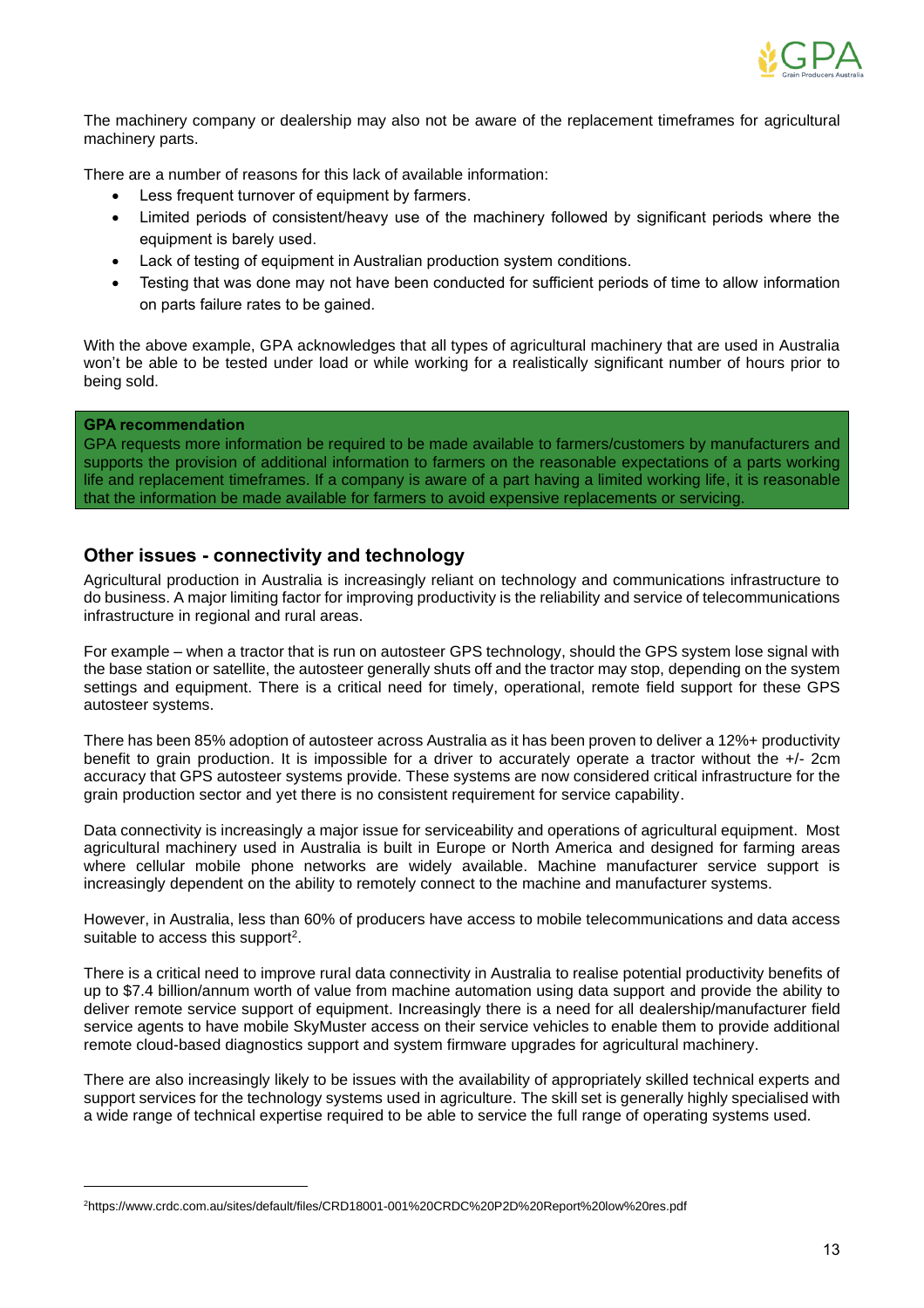

The machinery company or dealership may also not be aware of the replacement timeframes for agricultural machinery parts.

There are a number of reasons for this lack of available information:

- Less frequent turnover of equipment by farmers.
- Limited periods of consistent/heavy use of the machinery followed by significant periods where the equipment is barely used.
- Lack of testing of equipment in Australian production system conditions.
- Testing that was done may not have been conducted for sufficient periods of time to allow information on parts failure rates to be gained.

With the above example, GPA acknowledges that all types of agricultural machinery that are used in Australia won't be able to be tested under load or while working for a realistically significant number of hours prior to being sold.

#### **GPA recommendation**

GPA requests more information be required to be made available to farmers/customers by manufacturers and supports the provision of additional information to farmers on the reasonable expectations of a parts working life and replacement timeframes. If a company is aware of a part having a limited working life, it is reasonable that the information be made available for farmers to avoid expensive replacements or servicing.

## **Other issues - connectivity and technology**

Agricultural production in Australia is increasingly reliant on technology and communications infrastructure to do business. A major limiting factor for improving productivity is the reliability and service of telecommunications infrastructure in regional and rural areas.

For example – when a tractor that is run on autosteer GPS technology, should the GPS system lose signal with the base station or satellite, the autosteer generally shuts off and the tractor may stop, depending on the system settings and equipment. There is a critical need for timely, operational, remote field support for these GPS autosteer systems.

There has been 85% adoption of autosteer across Australia as it has been proven to deliver a 12%+ productivity benefit to grain production. It is impossible for a driver to accurately operate a tractor without the +/- 2cm accuracy that GPS autosteer systems provide. These systems are now considered critical infrastructure for the grain production sector and yet there is no consistent requirement for service capability.

Data connectivity is increasingly a major issue for serviceability and operations of agricultural equipment. Most agricultural machinery used in Australia is built in Europe or North America and designed for farming areas where cellular mobile phone networks are widely available. Machine manufacturer service support is increasingly dependent on the ability to remotely connect to the machine and manufacturer systems.

However, in Australia, less than 60% of producers have access to mobile telecommunications and data access suitable to access this support<sup>2</sup>.

There is a critical need to improve rural data connectivity in Australia to realise potential productivity benefits of up to \$7.4 billion/annum worth of value from machine automation using data support and provide the ability to deliver remote service support of equipment. Increasingly there is a need for all dealership/manufacturer field service agents to have mobile SkyMuster access on their service vehicles to enable them to provide additional remote cloud-based diagnostics support and system firmware upgrades for agricultural machinery.

There are also increasingly likely to be issues with the availability of appropriately skilled technical experts and support services for the technology systems used in agriculture. The skill set is generally highly specialised with a wide range of technical expertise required to be able to service the full range of operating systems used.

<sup>2</sup>https://www.crdc.com.au/sites/default/files/CRD18001-001%20CRDC%20P2D%20Report%20low%20res.pdf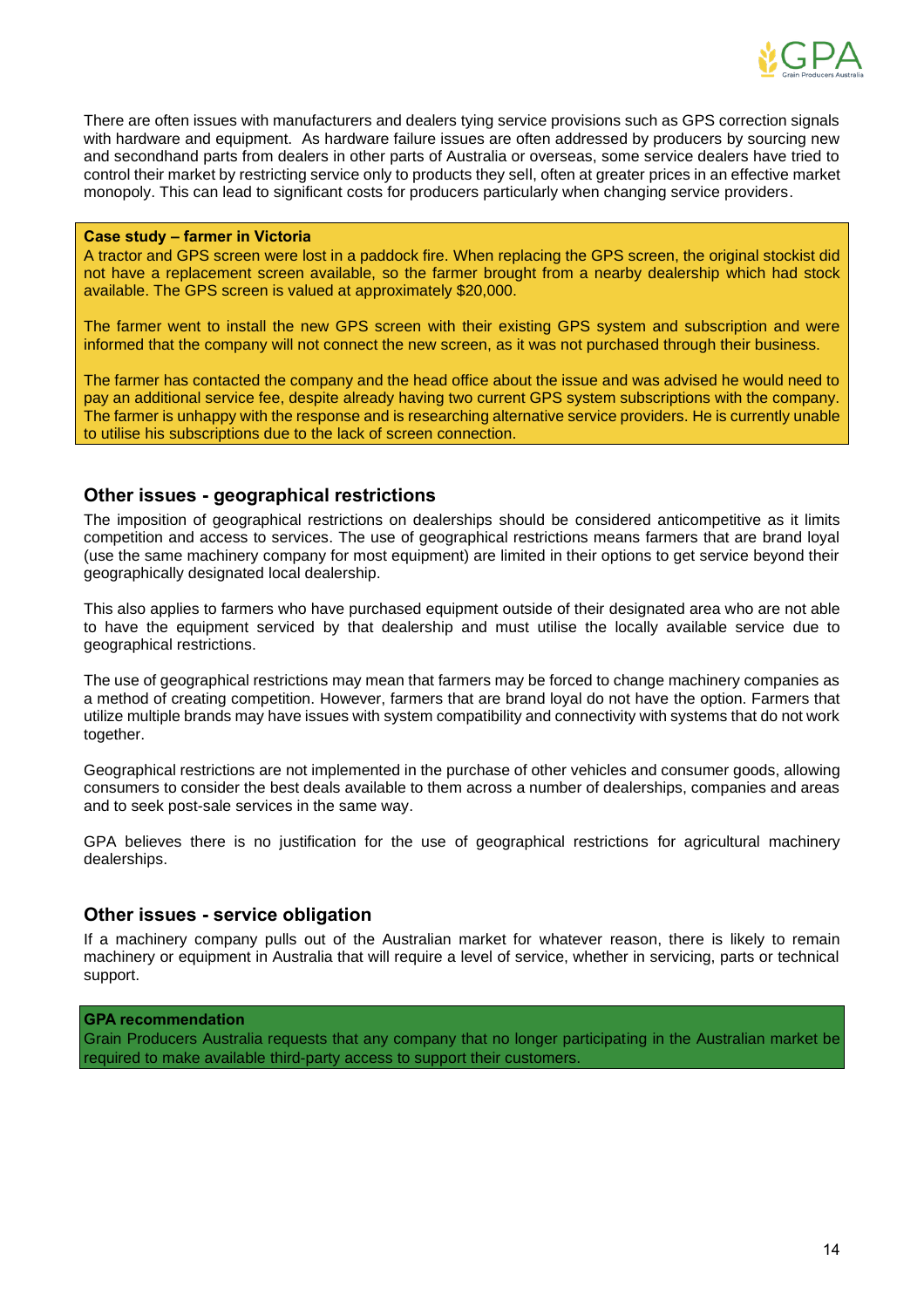

There are often issues with manufacturers and dealers tying service provisions such as GPS correction signals with hardware and equipment. As hardware failure issues are often addressed by producers by sourcing new and secondhand parts from dealers in other parts of Australia or overseas, some service dealers have tried to control their market by restricting service only to products they sell, often at greater prices in an effective market monopoly. This can lead to significant costs for producers particularly when changing service providers.

#### **Case study – farmer in Victoria**

A tractor and GPS screen were lost in a paddock fire. When replacing the GPS screen, the original stockist did not have a replacement screen available, so the farmer brought from a nearby dealership which had stock available. The GPS screen is valued at approximately \$20,000.

The farmer went to install the new GPS screen with their existing GPS system and subscription and were informed that the company will not connect the new screen, as it was not purchased through their business.

The farmer has contacted the company and the head office about the issue and was advised he would need to pay an additional service fee, despite already having two current GPS system subscriptions with the company. The farmer is unhappy with the response and is researching alternative service providers. He is currently unable to utilise his subscriptions due to the lack of screen connection.

## **Other issues - geographical restrictions**

The imposition of geographical restrictions on dealerships should be considered anticompetitive as it limits competition and access to services. The use of geographical restrictions means farmers that are brand loyal (use the same machinery company for most equipment) are limited in their options to get service beyond their geographically designated local dealership.

This also applies to farmers who have purchased equipment outside of their designated area who are not able to have the equipment serviced by that dealership and must utilise the locally available service due to geographical restrictions.

The use of geographical restrictions may mean that farmers may be forced to change machinery companies as a method of creating competition. However, farmers that are brand loyal do not have the option. Farmers that utilize multiple brands may have issues with system compatibility and connectivity with systems that do not work together.

Geographical restrictions are not implemented in the purchase of other vehicles and consumer goods, allowing consumers to consider the best deals available to them across a number of dealerships, companies and areas and to seek post-sale services in the same way.

GPA believes there is no justification for the use of geographical restrictions for agricultural machinery dealerships.

## **Other issues - service obligation**

If a machinery company pulls out of the Australian market for whatever reason, there is likely to remain machinery or equipment in Australia that will require a level of service, whether in servicing, parts or technical support.

#### **GPA recommendation**

Grain Producers Australia requests that any company that no longer participating in the Australian market be required to make available third-party access to support their customers.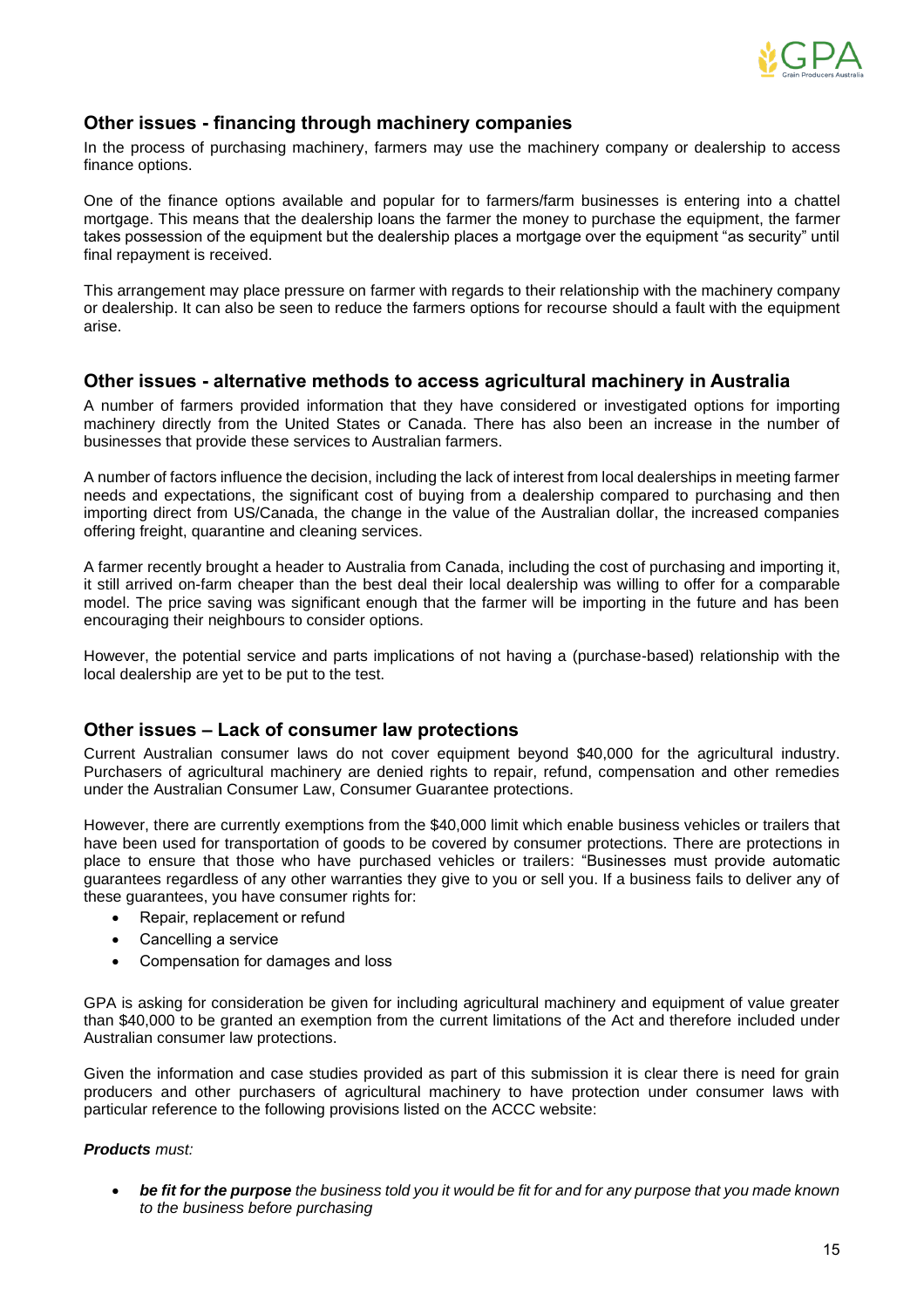

## **Other issues - financing through machinery companies**

In the process of purchasing machinery, farmers may use the machinery company or dealership to access finance options.

One of the finance options available and popular for to farmers/farm businesses is entering into a chattel mortgage. This means that the dealership loans the farmer the money to purchase the equipment, the farmer takes possession of the equipment but the dealership places a mortgage over the equipment "as security" until final repayment is received.

This arrangement may place pressure on farmer with regards to their relationship with the machinery company or dealership. It can also be seen to reduce the farmers options for recourse should a fault with the equipment arise.

## **Other issues - alternative methods to access agricultural machinery in Australia**

A number of farmers provided information that they have considered or investigated options for importing machinery directly from the United States or Canada. There has also been an increase in the number of businesses that provide these services to Australian farmers.

A number of factors influence the decision, including the lack of interest from local dealerships in meeting farmer needs and expectations, the significant cost of buying from a dealership compared to purchasing and then importing direct from US/Canada, the change in the value of the Australian dollar, the increased companies offering freight, quarantine and cleaning services.

A farmer recently brought a header to Australia from Canada, including the cost of purchasing and importing it, it still arrived on-farm cheaper than the best deal their local dealership was willing to offer for a comparable model. The price saving was significant enough that the farmer will be importing in the future and has been encouraging their neighbours to consider options.

However, the potential service and parts implications of not having a (purchase-based) relationship with the local dealership are yet to be put to the test.

## **Other issues – Lack of consumer law protections**

Current Australian consumer laws do not cover equipment beyond \$40,000 for the agricultural industry. Purchasers of agricultural machinery are denied rights to repair, refund, compensation and other remedies under the Australian Consumer Law, Consumer Guarantee protections.

However, there are currently exemptions from the \$40,000 limit which enable business vehicles or trailers that have been used for transportation of goods to be covered by consumer protections. There are protections in place to ensure that those who have purchased vehicles or trailers: "Businesses must provide automatic guarantees regardless of any other warranties they give to you or sell you. If a business fails to deliver any of these guarantees, you have consumer rights for:

- Repair, replacement or refund
- Cancelling a service
- Compensation for damages and loss

GPA is asking for consideration be given for including agricultural machinery and equipment of value greater than \$40,000 to be granted an exemption from the current limitations of the Act and therefore included under Australian consumer law protections.

Given the information and case studies provided as part of this submission it is clear there is need for grain producers and other purchasers of agricultural machinery to have protection under consumer laws with particular reference to the following provisions listed on the ACCC website:

## *Products must:*

• *be fit for the purpose the business told you it would be fit for and for any purpose that you made known to the business before purchasing*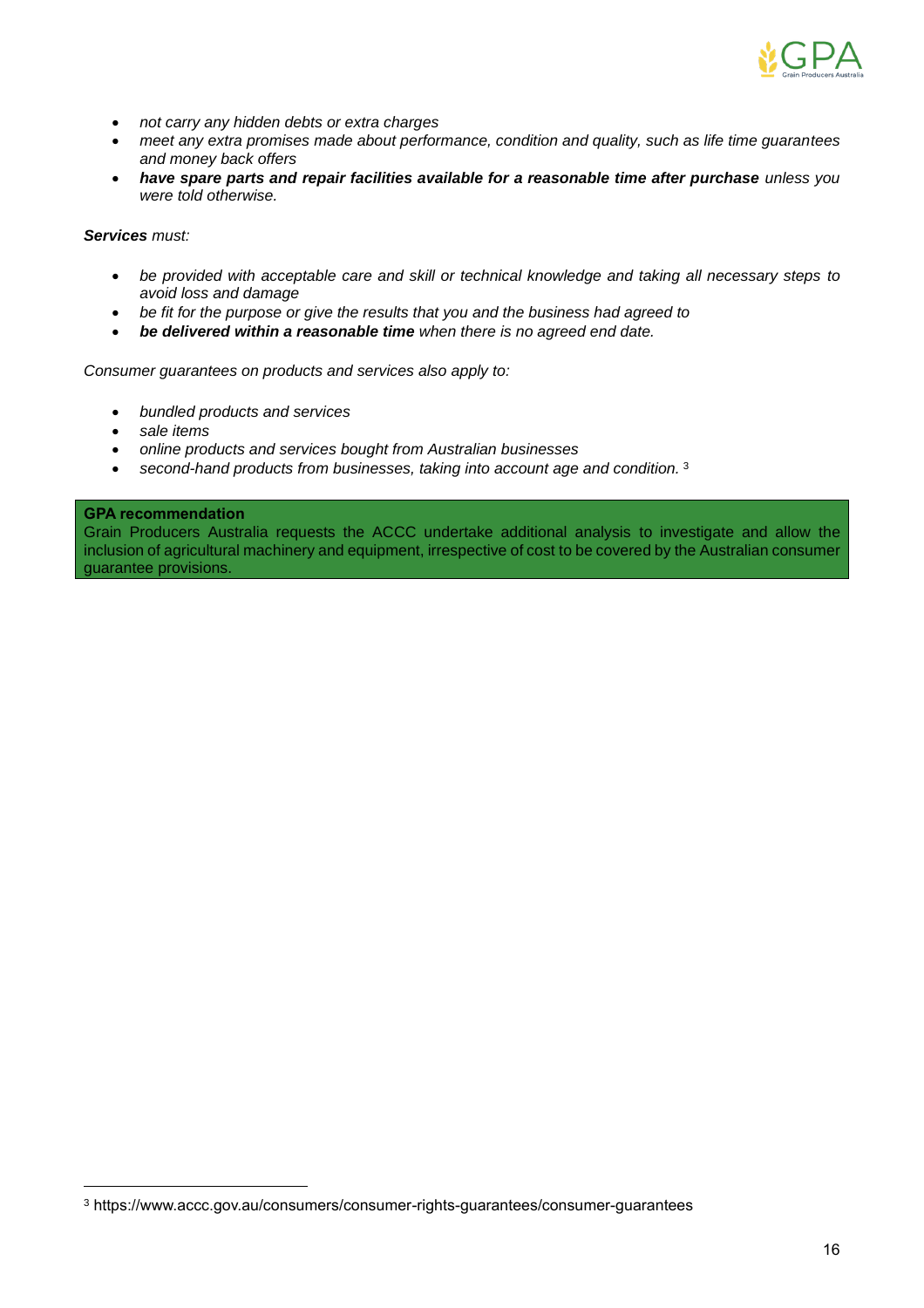

- *not carry any hidden debts or extra charges*
- *meet any extra promises made about performance, condition and quality, such as life time guarantees and money back offers*
- have spare parts and repair facilities available for a reasonable time after purchase *unless you were told otherwise.*

### *Services must:*

- *be provided with acceptable care and skill or technical knowledge and taking all necessary steps to avoid loss and damage*
- *be fit for the purpose or give the results that you and the business had agreed to*
- *be delivered within a reasonable time when there is no agreed end date.*

*Consumer guarantees on products and services also apply to:*

- *bundled products and services*
- *sale items*
- *online products and services bought from Australian businesses*
- *second-hand products from businesses, taking into account age and condition.* <sup>3</sup>

### **GPA recommendation**

Grain Producers Australia requests the ACCC undertake additional analysis to investigate and allow the inclusion of agricultural machinery and equipment, irrespective of cost to be covered by the Australian consumer guarantee provisions.

<sup>3</sup> https://www.accc.gov.au/consumers/consumer-rights-guarantees/consumer-guarantees